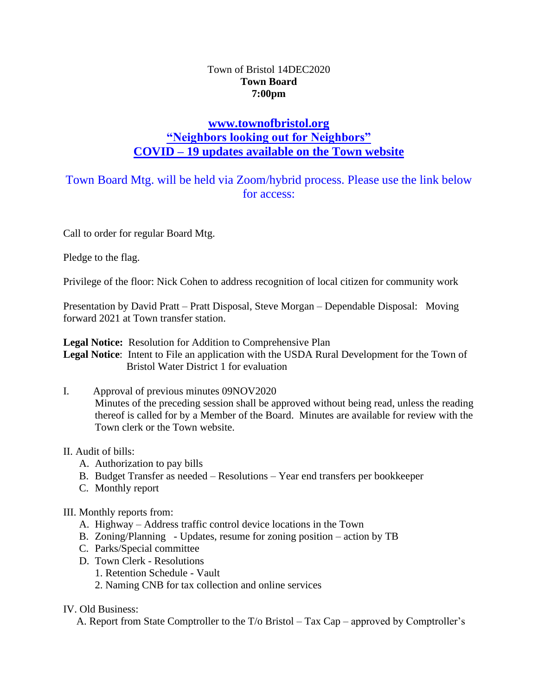## Town of Bristol 14DEC2020 **Town Board 7:00pm**

## **[www.townofbristol.org](http://www.townofbristol.org/) "Neighbors looking out for Neighbors" COVID – 19 updates available on the Town website**

# Town Board Mtg. will be held via Zoom/hybrid process. Please use the link below for access:

Call to order for regular Board Mtg.

Pledge to the flag.

Privilege of the floor: Nick Cohen to address recognition of local citizen for community work

Presentation by David Pratt – Pratt Disposal, Steve Morgan – Dependable Disposal: Moving forward 2021 at Town transfer station.

**Legal Notice:** Resolution for Addition to Comprehensive Plan

**Legal Notice**: Intent to File an application with the USDA Rural Development for the Town of Bristol Water District 1 for evaluation

I. Approval of previous minutes 09NOV2020

Minutes of the preceding session shall be approved without being read, unless the reading thereof is called for by a Member of the Board. Minutes are available for review with the Town clerk or the Town website.

## II. Audit of bills:

- A. Authorization to pay bills
- B. Budget Transfer as needed Resolutions Year end transfers per bookkeeper
- C. Monthly report

## III. Monthly reports from:

- A. Highway Address traffic control device locations in the Town
- B. Zoning/Planning Updates, resume for zoning position action by TB
- C. Parks/Special committee
- D. Town Clerk Resolutions
	- 1. Retention Schedule Vault
	- 2. Naming CNB for tax collection and online services

## IV. Old Business:

A. Report from State Comptroller to the T/o Bristol – Tax Cap – approved by Comptroller's